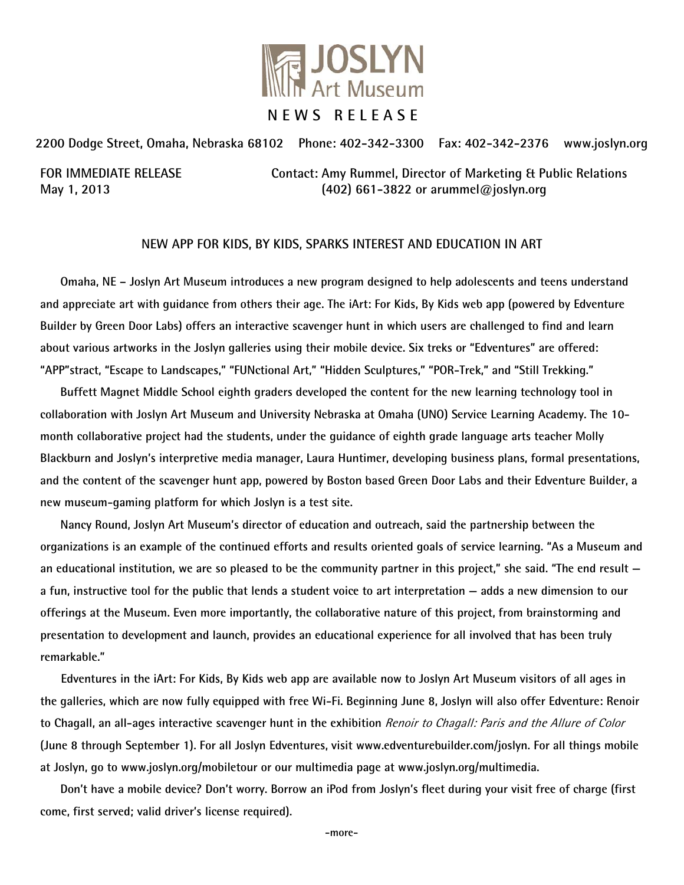

**2200 Dodge Street, Omaha, Nebraska 68102 Phone: 402-342-3300 Fax: 402-342-2376 www.joslyn.org**

**FOR IMMEDIATE RELEASE Contact: Amy Rummel, Director of Marketing & Public Relations May 1, 2013 (402) 661-3822 or arummel@joslyn.org**

## **NEW APP FOR KIDS, BY KIDS, SPARKS INTEREST AND EDUCATION IN ART**

**Omaha, NE – Joslyn Art Museum introduces a new program designed to help adolescents and teens understand and appreciate art with guidance from others their age. The iArt: For Kids, By Kids web app (powered by Edventure Builder by Green Door Labs) offers an interactive scavenger hunt in which users are challenged to find and learn about various artworks in the Joslyn galleries using their mobile device. Six treks or "Edventures" are offered: "APP"stract, "Escape to Landscapes," "FUNctional Art," "Hidden Sculptures," "POR-Trek," and "Still Trekking."** 

**Buffett Magnet Middle School eighth graders developed the content for the new learning technology tool in collaboration with Joslyn Art Museum and University Nebraska at Omaha (UNO) Service Learning Academy. The 10 month collaborative project had the students, under the guidance of eighth grade language arts teacher Molly Blackburn and Joslyn's interpretive media manager, Laura Huntimer, developing business plans, formal presentations, and the content of the scavenger hunt app, powered by Boston based Green Door Labs and their Edventure Builder, a new museum-gaming platform for which Joslyn is a test site.** 

**Nancy Round, Joslyn Art Museum's director of education and outreach, said the partnership between the organizations is an example of the continued efforts and results oriented goals of service learning. "As a Museum and an educational institution, we are so pleased to be the community partner in this project," she said. "The end result a fun, instructive tool for the public that lends a student voice to art interpretation — adds a new dimension to our offerings at the Museum. Even more importantly, the collaborative nature of this project, from brainstorming and presentation to development and launch, provides an educational experience for all involved that has been truly remarkable."**

 **Edventures in the iArt: For Kids, By Kids web app are available now to Joslyn Art Museum visitors of all ages in the galleries, which are now fully equipped with free Wi-Fi. Beginning June 8, Joslyn will also offer Edventure: Renoir to Chagall, an all-ages interactive scavenger hunt in the exhibition** Renoir to Chagall: Paris and the Allure of Color **(June 8 through September 1). For all Joslyn Edventures, visit www.edventurebuilder.com/joslyn. For all things mobile at Joslyn, go to www.joslyn.org/mobiletour or our multimedia page at www.joslyn.org/multimedia.**

**Don't have a mobile device? Don't worry. Borrow an iPod from Joslyn's fleet during your visit free of charge (first come, first served; valid driver's license required).**